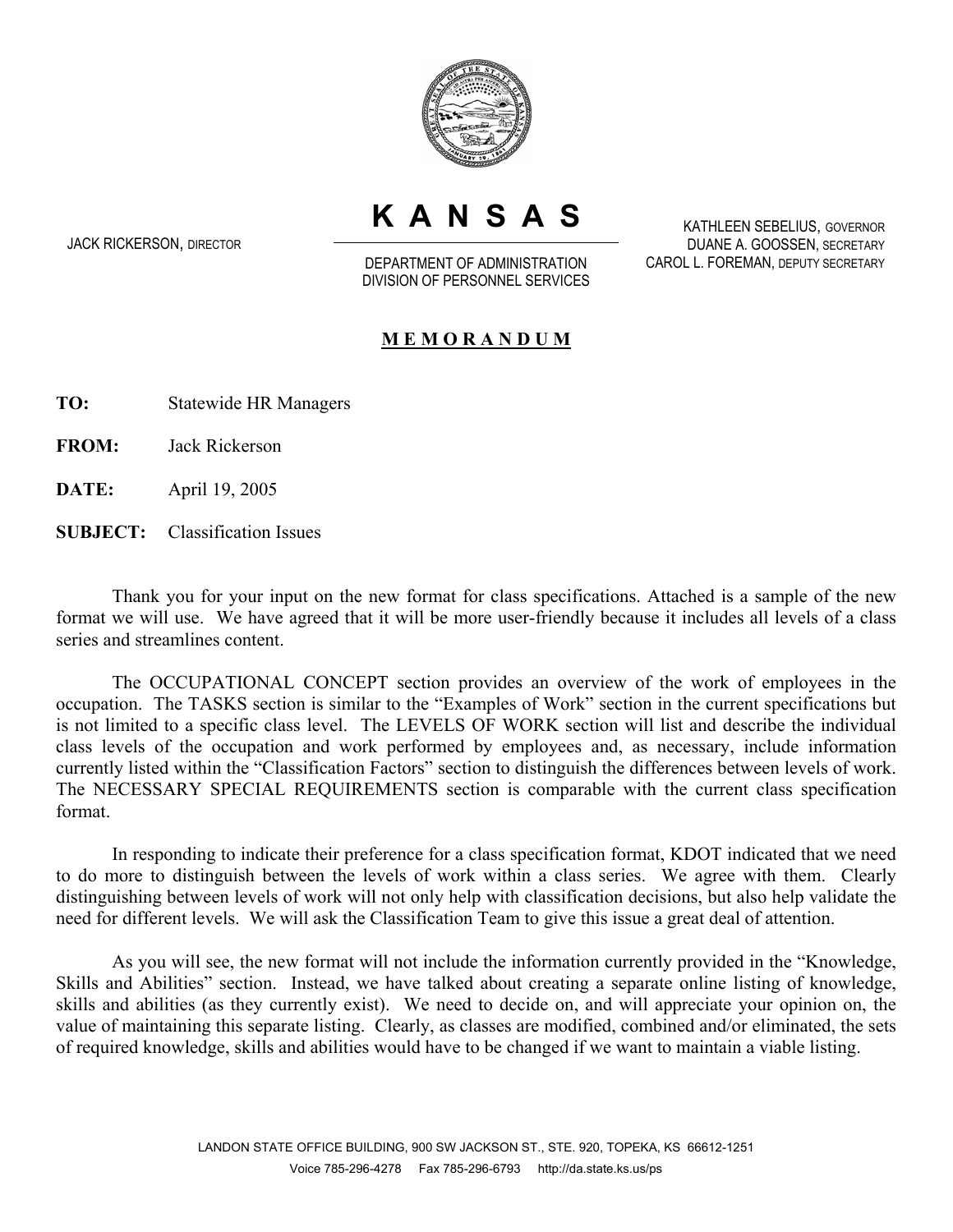

**KANSAS**

JACK RICKERSON, DIRECTOR

DEPARTMENT OF ADMINISTRATION DIVISION OF PERSONNEL SERVICES

KATHLEEN SEBELIUS, GOVERNOR DUANE A. GOOSSEN, SECRETARY CAROL L. FOREMAN, DEPUTY SECRETARY

## **M E M O R A N D U M**

**TO:** Statewide HR Managers

**FROM:** Jack Rickerson

**DATE:** April 19, 2005

**SUBJECT:** Classification Issues

Thank you for your input on the new format for class specifications. Attached is a sample of the new format we will use. We have agreed that it will be more user-friendly because it includes all levels of a class series and streamlines content.

The OCCUPATIONAL CONCEPT section provides an overview of the work of employees in the occupation. The TASKS section is similar to the "Examples of Work" section in the current specifications but is not limited to a specific class level. The LEVELS OF WORK section will list and describe the individual class levels of the occupation and work performed by employees and, as necessary, include information currently listed within the "Classification Factors" section to distinguish the differences between levels of work. The NECESSARY SPECIAL REQUIREMENTS section is comparable with the current class specification format.

In responding to indicate their preference for a class specification format, KDOT indicated that we need to do more to distinguish between the levels of work within a class series. We agree with them. Clearly distinguishing between levels of work will not only help with classification decisions, but also help validate the need for different levels. We will ask the Classification Team to give this issue a great deal of attention.

As you will see, the new format will not include the information currently provided in the "Knowledge, Skills and Abilities" section. Instead, we have talked about creating a separate online listing of knowledge, skills and abilities (as they currently exist). We need to decide on, and will appreciate your opinion on, the value of maintaining this separate listing. Clearly, as classes are modified, combined and/or eliminated, the sets of required knowledge, skills and abilities would have to be changed if we want to maintain a viable listing.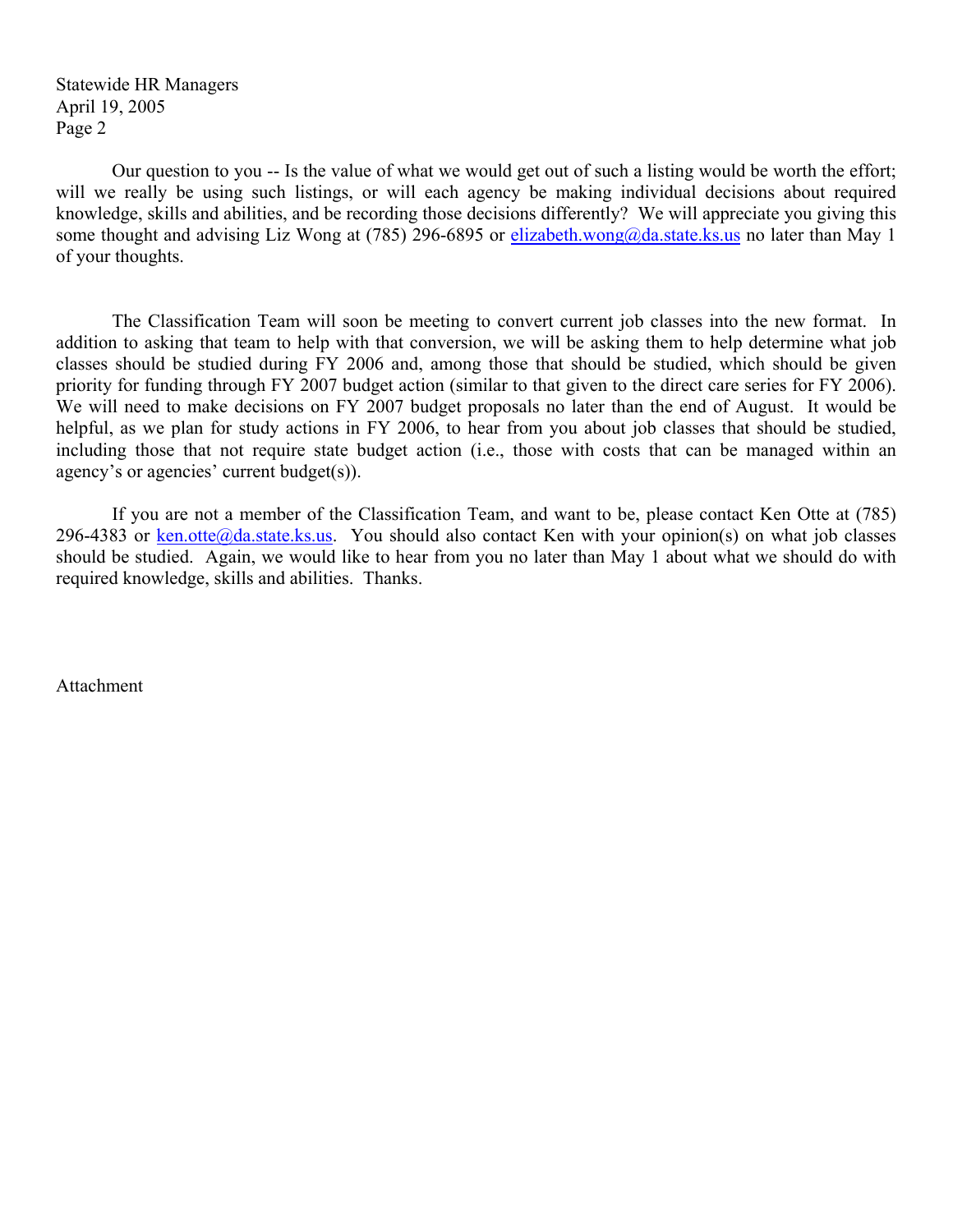Statewide HR Managers April 19, 2005 Page 2

Our question to you -- Is the value of what we would get out of such a listing would be worth the effort; will we really be using such listings, or will each agency be making individual decisions about required knowledge, skills and abilities, and be recording those decisions differently? We will appreciate you giving this some thought and advising Liz Wong at (785) 296-6895 or elizabeth.wong@da.state.ks.us no later than May 1 of your thoughts.

The Classification Team will soon be meeting to convert current job classes into the new format. In addition to asking that team to help with that conversion, we will be asking them to help determine what job classes should be studied during FY 2006 and, among those that should be studied, which should be given priority for funding through FY 2007 budget action (similar to that given to the direct care series for FY 2006). We will need to make decisions on FY 2007 budget proposals no later than the end of August. It would be helpful, as we plan for study actions in FY 2006, to hear from you about job classes that should be studied, including those that not require state budget action (i.e., those with costs that can be managed within an agency's or agencies' current budget(s)).

If you are not a member of the Classification Team, and want to be, please contact Ken Otte at (785) 296-4383 or ken.otte@da.state.ks.us. You should also contact Ken with your opinion(s) on what job classes should be studied. Again, we would like to hear from you no later than May 1 about what we should do with required knowledge, skills and abilities. Thanks.

Attachment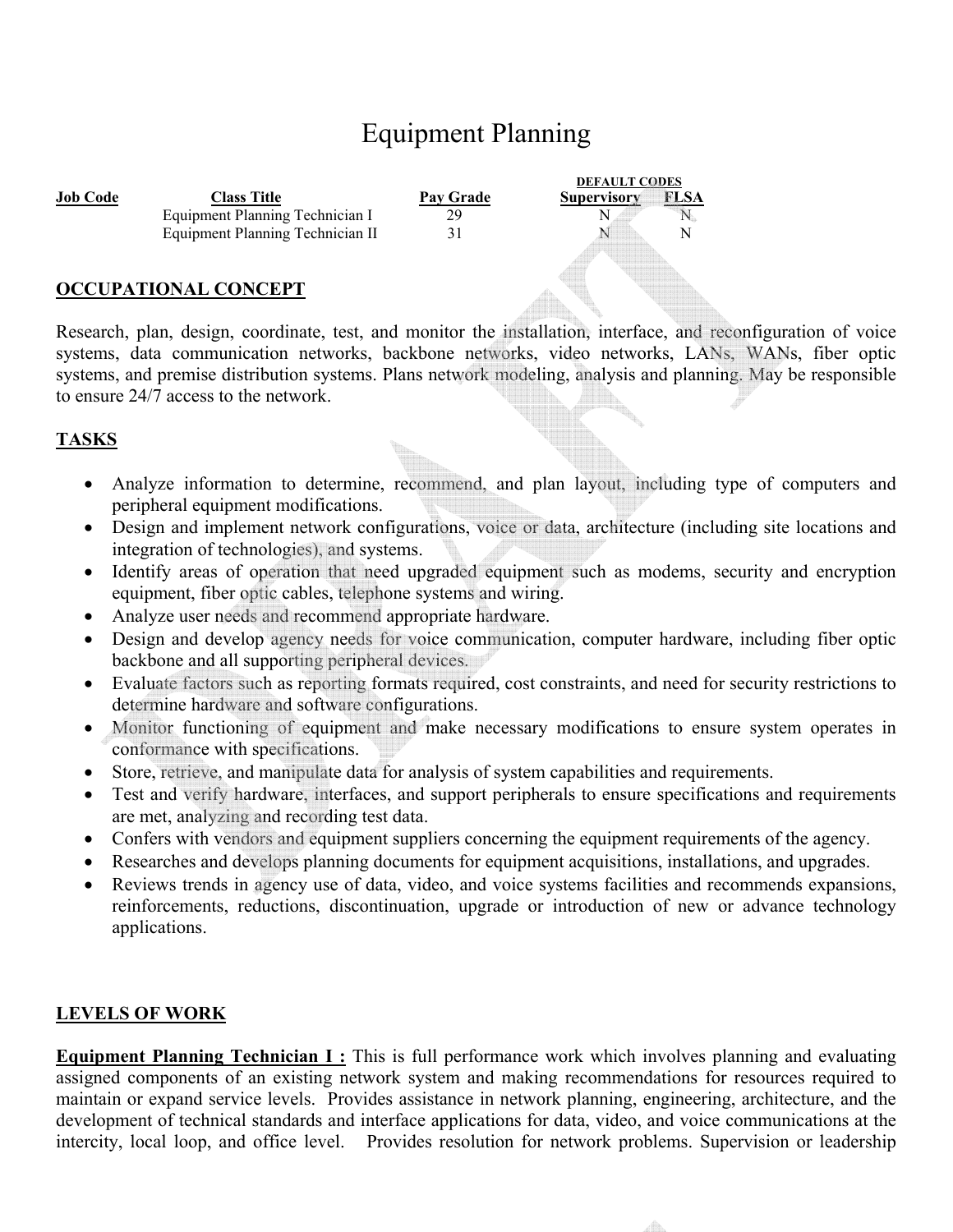# Equipment Planning

|                             |                                  |                  | <b>DEFAULT CODES</b> |
|-----------------------------|----------------------------------|------------------|----------------------|
| <b>Job Code</b>             | <b>Class Title</b>               | <b>Pav Grade</b> | FL SA<br>Supervisory |
|                             | Equipment Planning Technician I  | 29               |                      |
|                             | Equipment Planning Technician II |                  |                      |
|                             |                                  |                  |                      |
| <b>OCCUPATIONAL CONCEPT</b> |                                  |                  |                      |

Research, plan, design, coordinate, test, and monitor the installation, interface, and reconfiguration of voice systems, data communication networks, backbone networks, video networks, LANs, WANs, fiber optic systems, and premise distribution systems. Plans network modeling, analysis and planning. May be responsible to ensure 24/7 access to the network.

#### **TASKS**

- Analyze information to determine, recommend, and plan layout, including type of computers and peripheral equipment modifications.
- Design and implement network configurations, voice or data, architecture (including site locations and integration of technologies), and systems.
- Identify areas of operation that need upgraded equipment such as modems, security and encryption equipment, fiber optic cables, telephone systems and wiring.
- Analyze user needs and recommend appropriate hardware.
- Design and develop agency needs for voice communication, computer hardware, including fiber optic backbone and all supporting peripheral devices.
- Evaluate factors such as reporting formats required, cost constraints, and need for security restrictions to determine hardware and software configurations.
- Monitor functioning of equipment and make necessary modifications to ensure system operates in conformance with specifications.
- Store, retrieve, and manipulate data for analysis of system capabilities and requirements.
- Test and verify hardware, interfaces, and support peripherals to ensure specifications and requirements are met, analyzing and recording test data.
- Confers with vendors and equipment suppliers concerning the equipment requirements of the agency.
- Researches and develops planning documents for equipment acquisitions, installations, and upgrades.
- Reviews trends in agency use of data, video, and voice systems facilities and recommends expansions, reinforcements, reductions, discontinuation, upgrade or introduction of new or advance technology applications.

# **LEVELS OF WORK**

**Equipment Planning Technician I :** This is full performance work which involves planning and evaluating assigned components of an existing network system and making recommendations for resources required to maintain or expand service levels. Provides assistance in network planning, engineering, architecture, and the development of technical standards and interface applications for data, video, and voice communications at the intercity, local loop, and office level. Provides resolution for network problems. Supervision or leadership